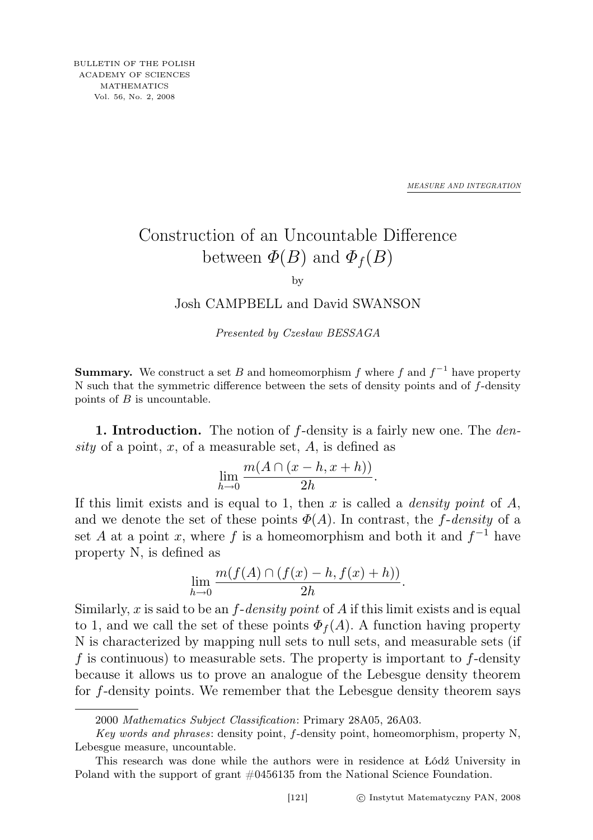*MEASURE AND INTEGRATION*

## Construction of an Uncountable Difference between  $\Phi(B)$  and  $\Phi_f(B)$

by

Josh CAMPBELL and David SWANSON

Presented by Czesław BESSAGA

**Summary.** We construct a set B and homeomorphism f where f and  $f^{-1}$  have property N such that the symmetric difference between the sets of density points and of f-density points of  $B$  is uncountable.

**1. Introduction.** The notion of  $f$ -density is a fairly new one. The *den*sity of a point, x, of a measurable set,  $A$ , is defined as

$$
\lim_{h \to 0} \frac{m(A \cap (x - h, x + h))}{2h}.
$$

If this limit exists and is equal to 1, then x is called a *density point* of  $A$ , and we denote the set of these points  $\Phi(A)$ . In contrast, the f-density of a set A at a point x, where f is a homeomorphism and both it and  $f^{-1}$  have property N, is defined as

$$
\lim_{h \to 0} \frac{m(f(A) \cap (f(x) - h, f(x) + h))}{2h}.
$$

Similarly, x is said to be an  $f$ -density point of A if this limit exists and is equal to 1, and we call the set of these points  $\Phi_f(A)$ . A function having property N is characterized by mapping null sets to null sets, and measurable sets (if f is continuous) to measurable sets. The property is important to  $f$ -density because it allows us to prove an analogue of the Lebesgue density theorem for f-density points. We remember that the Lebesgue density theorem says

<sup>2000</sup> Mathematics Subject Classification: Primary 28A05, 26A03.

Key words and phrases: density point, f-density point, homeomorphism, property N, Lebesgue measure, uncountable.

This research was done while the authors were in residence at Łódź University in Poland with the support of grant #0456135 from the National Science Foundation.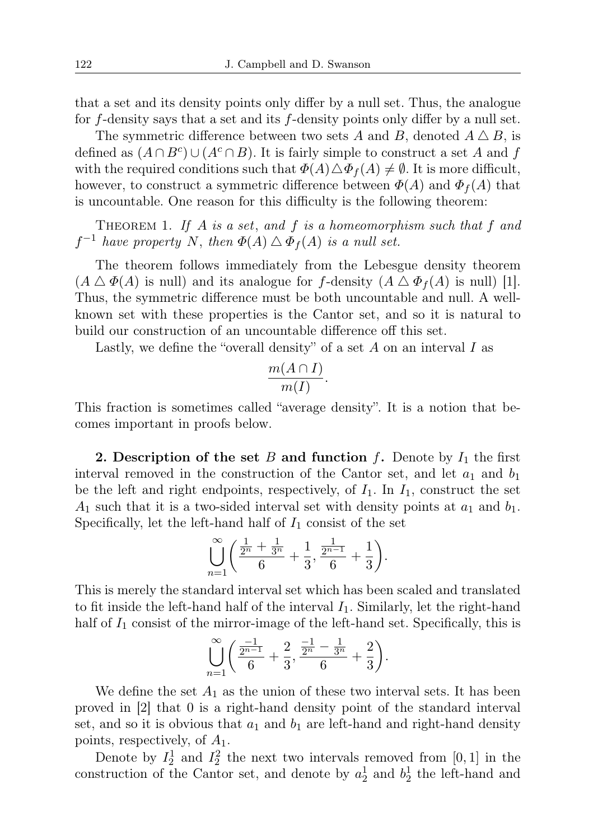that a set and its density points only differ by a null set. Thus, the analogue for f-density says that a set and its f-density points only differ by a null set.

The symmetric difference between two sets A and B, denoted  $A \triangle B$ , is defined as  $(A \cap B^c) \cup (A^c \cap B)$ . It is fairly simple to construct a set A and f with the required conditions such that  $\Phi(A) \Delta \Phi_f(A) \neq \emptyset$ . It is more difficult, however, to construct a symmetric difference between  $\Phi(A)$  and  $\Phi_f(A)$  that is uncountable. One reason for this difficulty is the following theorem:

THEOREM 1. If  $A$  is a set, and  $f$  is a homeomorphism such that  $f$  and  $f^{-1}$  have property N, then  $\Phi(A) \bigtriangleup \Phi_f(A)$  is a null set.

The theorem follows immediately from the Lebesgue density theorem  $(A \bigtriangleup \Phi(A)$  is null) and its analogue for f-density  $(A \bigtriangleup \Phi_f(A))$  is null) [1]. Thus, the symmetric difference must be both uncountable and null. A wellknown set with these properties is the Cantor set, and so it is natural to build our construction of an uncountable difference off this set.

Lastly, we define the "overall density" of a set  $A$  on an interval  $I$  as

$$
\frac{m(A \cap I)}{m(I)}.
$$

This fraction is sometimes called "average density". It is a notion that becomes important in proofs below.

**2. Description of the set B and function f.** Denote by  $I_1$  the first interval removed in the construction of the Cantor set, and let  $a_1$  and  $b_1$ be the left and right endpoints, respectively, of  $I_1$ . In  $I_1$ , construct the set  $A_1$  such that it is a two-sided interval set with density points at  $a_1$  and  $b_1$ . Specifically, let the left-hand half of  $I_1$  consist of the set

$$
\bigcup_{n=1}^{\infty} \left( \frac{\frac{1}{2^n} + \frac{1}{3^n}}{6} + \frac{1}{3}, \frac{\frac{1}{2^{n-1}}}{6} + \frac{1}{3} \right).
$$

This is merely the standard interval set which has been scaled and translated to fit inside the left-hand half of the interval  $I_1$ . Similarly, let the right-hand half of  $I_1$  consist of the mirror-image of the left-hand set. Specifically, this is

$$
\bigcup_{n=1}^{\infty} \left( \frac{\frac{-1}{2^{n-1}}}{6} + \frac{2}{3}, \frac{\frac{-1}{2^n} - \frac{1}{3^n}}{6} + \frac{2}{3} \right).
$$

We define the set  $A_1$  as the union of these two interval sets. It has been proved in [2] that 0 is a right-hand density point of the standard interval set, and so it is obvious that  $a_1$  and  $b_1$  are left-hand and right-hand density points, respectively, of  $A_1$ .

Denote by  $I_2^1$  and  $I_2^2$  the next two intervals removed from [0, 1] in the construction of the Cantor set, and denote by  $a_2^1$  and  $b_2^1$  the left-hand and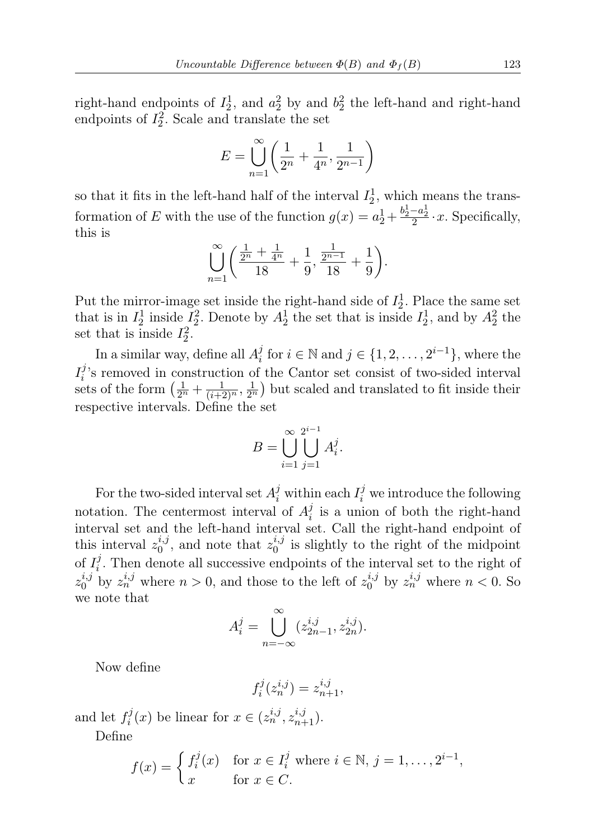right-hand endpoints of  $I_2^1$ , and  $a_2^2$  by and  $b_2^2$  the left-hand and right-hand endpoints of  $I_2^2$ . Scale and translate the set

$$
E = \bigcup_{n=1}^{\infty} \left( \frac{1}{2^n} + \frac{1}{4^n}, \frac{1}{2^{n-1}} \right)
$$

so that it fits in the left-hand half of the interval  $I_2^1$ , which means the transformation of E with the use of the function  $g(x) = a_2^1 + \frac{b_2^1 - a_2^1}{2} \cdot x$ . Specifically, this is

$$
\bigcup_{n=1}^{\infty} \left( \frac{\frac{1}{2^n} + \frac{1}{4^n}}{18} + \frac{1}{9}, \frac{\frac{1}{2^{n-1}}}{18} + \frac{1}{9} \right).
$$

Put the mirror-image set inside the right-hand side of  $I_2^1$ . Place the same set that is in  $I_2^1$  inside  $I_2^2$ . Denote by  $A_2^1$  the set that is inside  $I_2^1$ , and by  $A_2^2$  the set that is inside  $I_2^2$ .

In a similar way, define all  $A_i^j$  $i \in \mathbb{N}$  and  $j \in \{1, 2, \ldots, 2^{i-1}\},\$  where the  $I_i^j$  $i<sup>j</sup>$ 's removed in construction of the Cantor set consist of two-sided interval sets of the form  $\left(\frac{1}{2^n} + \frac{1}{(i+2)^n}, \frac{1}{2^n}\right)$  but scaled and translated to fit inside their respective intervals. Define the set

$$
B = \bigcup_{i=1}^{\infty} \bigcup_{j=1}^{2^{i-1}} A_i^j.
$$

For the two-sided interval set  $A_i^j$  within each  $I_i^j$  we introduce the following notation. The centermost interval of  $A_i^j$  $i<sub>i</sub>$  is a union of both the right-hand interval set and the left-hand interval set. Call the right-hand endpoint of this interval  $z_0^{i,j}$  $z_0^{i,j}$ , and note that  $z_0^{i,j}$  $\binom{i,j}{0}$  is slightly to the right of the midpoint of  $I_i^j$  $i<sub>i</sub>$ . Then denote all successive endpoints of the interval set to the right of  $z_0^{i,j}$  $i,j$  by  $z_n^{i,j}$  where  $n > 0$ , and those to the left of  $z_0^{i,j}$  $z_0^{i,j}$  by  $z_n^{i,j}$  where  $n < 0$ . So we note that

$$
A_i^j = \bigcup_{n = -\infty}^{\infty} (z_{2n-1}^{i,j}, z_{2n}^{i,j}).
$$

Now define

$$
f_i^j(z_n^{i,j}) = z_{n+1}^{i,j},
$$

and let  $f_i^j$  $i^{j}(x)$  be linear for  $x \in (z^{i,j}_{n}, z^{i,j}_{n+1}).$ Define

$$
f(x) = \begin{cases} f_i^j(x) & \text{for } x \in I_i^j \text{ where } i \in \mathbb{N}, j = 1, \dots, 2^{i-1}, \\ x & \text{for } x \in C. \end{cases}
$$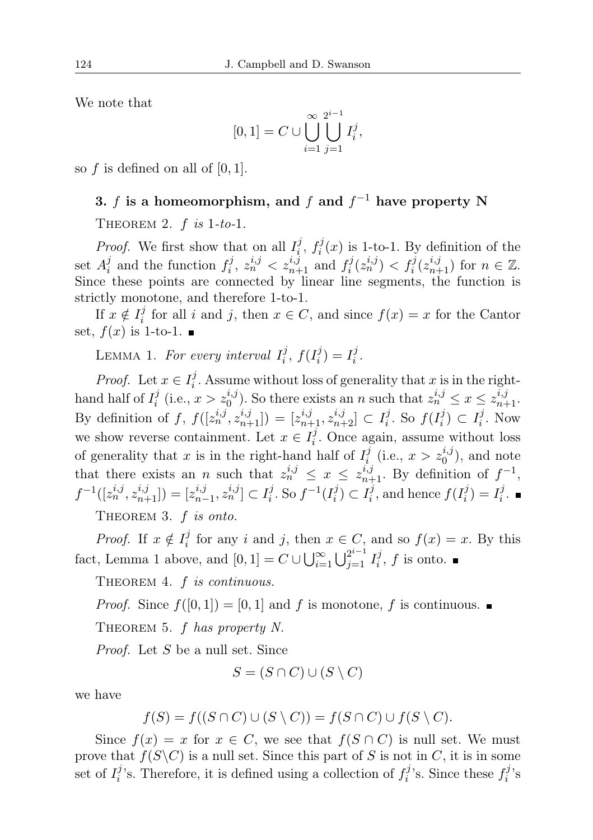We note that

$$
[0,1] = C \cup \bigcup_{i=1}^{\infty} \bigcup_{j=1}^{2^{i-1}} I_i^j,
$$

so f is defined on all of  $[0, 1]$ .

## 3. f is a homeomorphism, and f and  $f^{-1}$  have property N

THEOREM 2.  $f$  is 1-to-1.

*Proof.* We first show that on all  $I_i^j$  $\frac{j}{i}, f_i^j$  $i^j(x)$  is 1-to-1. By definition of the set  $A_i^j$  $i$  and the function  $f_i^j$  $z_i^{i,j}$ ,  $z_n^{i,j}$  <  $z_{n+1}^{i,j}$  and  $f_i^j$  $f_i^j(z_n^{i,j}) < f_i^j(z_{n+1}^{i,j})$  for  $n \in \mathbb{Z}$ . Since these points are connected by linear line segments, the function is strictly monotone, and therefore 1-to-1.

If  $x \notin I_i^j$  $j_i^j$  for all i and j, then  $x \in C$ , and since  $f(x) = x$  for the Cantor set,  $f(x)$  is 1-to-1.

LEMMA 1. For every interval  $I_i^j$  $i<sup>j</sup>$ ,  $f(I_i^j)$  $\binom{j}{i} = I_i^j$  $\frac{j}{i}$ .

*Proof.* Let  $x \in I_i^j$ <sup>1</sup>. Assume without loss of generality that x is in the righthand half of  $I_i^j$  $z_i^j$  (i.e.,  $x > z_0^{i,j}$ ). So there exists an n such that  $z_n^{i,j} \leq x \leq z_{n+1}^{i,j}$ . By definition of f,  $f([z_n^{i,j}, z_{n+1}^{i,j}]) = [z_{n+1}^{i,j}, z_{n+2}^{i,j}] \subset I_i^j$  $i$ . So  $f(I_i^j)$  $\binom{j}{i} \subset I_i^j$  $i^j$ . Now we show reverse containment. Let  $x \in I_i^j$  $i<sup>j</sup>$ . Once again, assume without loss of generality that x is in the right-hand half of  $I_i^j$  $i^j$  (i.e.,  $x > z_0^{i,j}$ ), and note that there exists an *n* such that  $z_n^{i,j} \leq x \leq z_{n+1}^{i,j}$ . By definition of  $f^{-1}$ ,  $f^{-1}([z_n^{i,j}, z_{n+1}^{i,j}]) = [z_{n-1}^{i,j}]$  $\left[\begin{smallmatrix} i,j \\ n-1 \end{smallmatrix}\right], z_n^{i,j} \big] \subset I_i^j$  $i$ . So  $f^{-1}(I_i^j)$  $\binom{j}{i} \subset I_i^j$  $i$ , and hence  $f(I_i^j)$  $I_i^j$ ) =  $I_i^j$  $\frac{j}{i}$ .

THEOREM 3. f is onto.

*Proof.* If  $x \notin I_i^j$  $i<sup>j</sup>$  for any i and j, then  $x \in C$ , and so  $f(x) = x$ . By this fact, Lemma 1 above, and  $[0, 1] = C \cup \bigcup_{i=1}^{\infty} \bigcup_{j=1}^{2^{i-1}} I_i^j$  $i<sup>j</sup>$ , f is onto.

THEOREM 4. f is continuous.

*Proof.* Since  $f([0, 1]) = [0, 1]$  and f is monotone, f is continuous.

THEOREM 5.  $f$  has property N.

Proof. Let S be a null set. Since

$$
S = (S \cap C) \cup (S \setminus C)
$$

we have

$$
f(S) = f((S \cap C) \cup (S \setminus C)) = f(S \cap C) \cup f(S \setminus C).
$$

Since  $f(x) = x$  for  $x \in C$ , we see that  $f(S \cap C)$  is null set. We must prove that  $f(S\setminus C)$  is a null set. Since this part of S is not in C, it is in some set of  $I_i^j$  $i$ <sup>'</sup>s. Therefore, it is defined using a collection of  $f_i^j$  $i^j$ 's. Since these  $f_i^j$  $j$ 's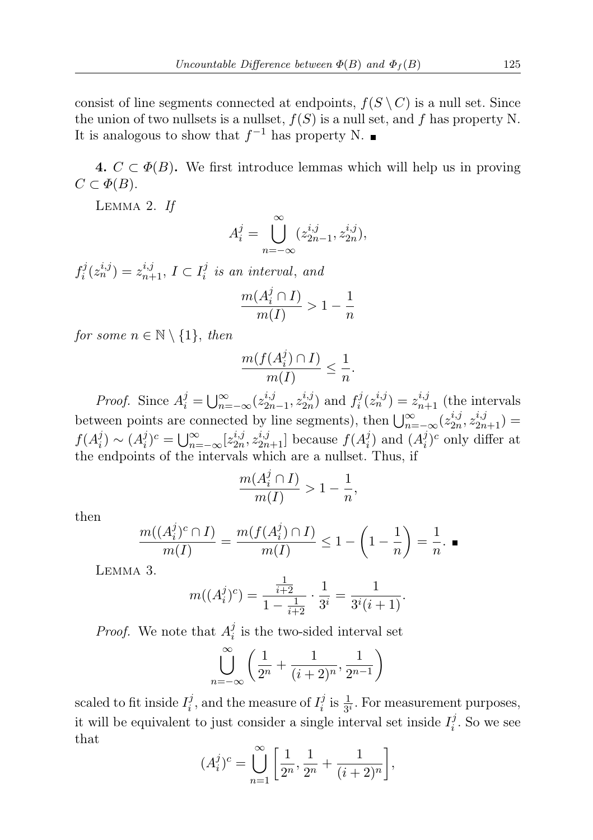consist of line segments connected at endpoints,  $f(S \setminus C)$  is a null set. Since the union of two nullsets is a nullset,  $f(S)$  is a null set, and f has property N. It is analogous to show that  $f^{-1}$  has property N.

4.  $C \subset \Phi(B)$ . We first introduce lemmas which will help us in proving  $C \subset \Phi(B).$ 

Lemma 2. If

$$
A_i^j = \bigcup_{n = -\infty}^{\infty} (z_{2n-1}^{i,j}, z_{2n}^{i,j}),
$$

 $f_i^j$  $z_i^{j}(z_n^{i,j}) = z_{n+1}^{i,j}, I \subset I_i^{j}$  $i<sub>i</sub>$  is an interval, and

$$
\frac{m(A_i^j\cap I)}{m(I)}>1-\frac{1}{n}
$$

for some  $n \in \mathbb{N} \setminus \{1\}$ , then

$$
\frac{m(f(A_i^j) \cap I)}{m(I)} \le \frac{1}{n}.
$$

*Proof.* Since  $A_i^j = \bigcup_{n=-\infty}^{\infty} (z_{2n}^{i,j})$  $\scriptstyle{i,j\over 2n-1},\,z_{2n}^{i,j}$  $j_{2n}^{i,j}$  and  $f_i^j$  $z_i^j(z_n^{i,j}) = z_{n+1}^{i,j}$  (the intervals between points are connected by line segments), then  $\bigcup_{n=-\infty}^{\infty} (z_{2n}^{i,j})$  $(z_2^{i,j}, z_{2n+1}^{i,j}) =$  $f(A_i^j)$  $\binom{j}{i} \sim (A_i^j)$  $j_i^j)^c = \bigcup_{n=-\infty}^{\infty} [z_{2n}^{i,j}]$  $\left[\begin{smallmatrix} i,j \\ 2n \end{smallmatrix}\right], z_{2n+1}^{i,j}$  because  $f(A_i^j)$  $i$ ) and  $(A_i^j)$  $(i)$ <sup>c</sup> only differ at the endpoints of the intervals which are a nullset. Thus, if

$$
\frac{m(A_i^j \cap I)}{m(I)} > 1 - \frac{1}{n},
$$

then

$$
\frac{m((A_i^j)^c\cap I)}{m(I)}=\frac{m(f(A_i^j)\cap I)}{m(I)}\leq 1-\left(1-\frac{1}{n}\right)=\frac{1}{n}.\ \blacksquare
$$

Lemma 3.

$$
m((A_i^j)^c) = \frac{\frac{1}{i+2}}{1 - \frac{1}{i+2}} \cdot \frac{1}{3^i} = \frac{1}{3^i(i+1)}.
$$

*Proof.* We note that  $A_i^j$  $i$ <sub>i</sub> is the two-sided interval set

$$
\bigcup_{n=-\infty}^{\infty} \left( \frac{1}{2^n} + \frac{1}{(i+2)^n}, \frac{1}{2^{n-1}} \right)
$$

scaled to fit inside  $I_i^j$  $i$ , and the measure of  $I_i^j$  $i$  is  $\frac{1}{3^i}$ . For measurement purposes, it will be equivalent to just consider a single interval set inside  $I_i^j$  $i<sup>j</sup>$ . So we see that

$$
(A_i^j)^c = \bigcup_{n=1}^{\infty} \left[ \frac{1}{2^n}, \frac{1}{2^n} + \frac{1}{(i+2)^n} \right],
$$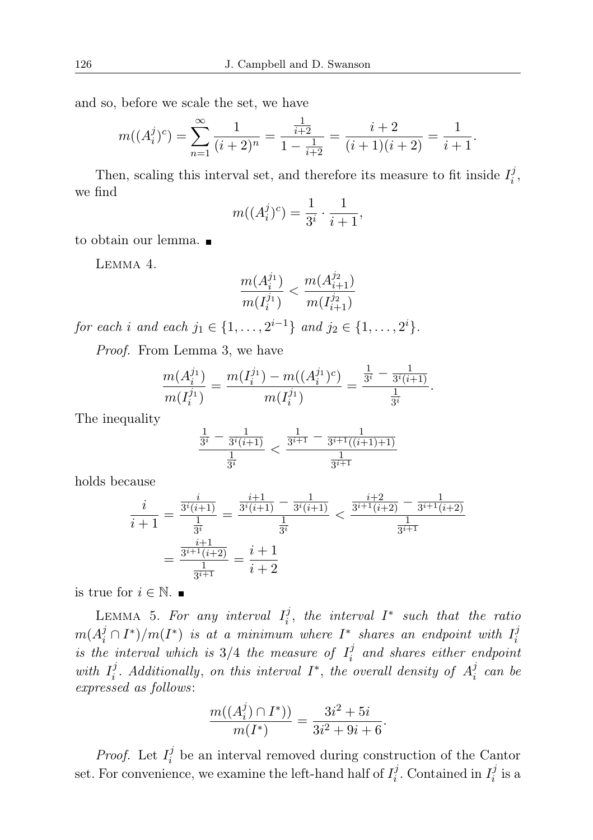and so, before we scale the set, we have

$$
m((A_i^j)^c) = \sum_{n=1}^{\infty} \frac{1}{(i+2)^n} = \frac{\frac{1}{i+2}}{1 - \frac{1}{i+2}} = \frac{i+2}{(i+1)(i+2)} = \frac{1}{i+1}.
$$

Then, scaling this interval set, and therefore its measure to fit inside  $I_i^j$  $\frac{j}{i}$ , we find

$$
m((A_i^j)^c) = \frac{1}{3^i} \cdot \frac{1}{i+1},
$$

to obtain our lemma.

Lemma 4.

$$
\frac{m(A^{j_1}_i)}{m(I^{j_1}_i)}<\frac{m(A^{j_2}_{i+1})}{m(I^{j_2}_{i+1})}
$$

for each i and each  $j_1 \in \{1, ..., 2^{i-1}\}$  and  $j_2 \in \{1, ..., 2^i\}$ .

Proof. From Lemma 3, we have

$$
\frac{m(A_i^{j_1})}{m(I_i^{j_1})} = \frac{m(I_i^{j_1}) - m((A_i^{j_1})^c)}{m(I_i^{j_1})} = \frac{\frac{1}{3^i} - \frac{1}{3^i(i+1)}}{\frac{1}{3^i}}.
$$

The inequality

$$
\frac{\frac{1}{3^{i}} - \frac{1}{3^{i}(i+1)}}{\frac{1}{3^{i}}} < \frac{\frac{1}{3^{i+1}} - \frac{1}{3^{i+1}((i+1)+1)}}{\frac{1}{3^{i+1}}}
$$

holds because

$$
\frac{i}{i+1} = \frac{\frac{i}{3^i(i+1)}}{\frac{1}{3^i}} = \frac{\frac{i+1}{3^i(i+1)} - \frac{1}{3^i(i+1)}}{\frac{1}{3^i}} < \frac{\frac{i+2}{3^{i+1}(i+2)} - \frac{1}{3^{i+1}(i+2)}}{\frac{1}{3^{i+1}}}
$$
\n
$$
= \frac{\frac{i+1}{3^{i+1}(i+2)}}{\frac{1}{3^{i+1}}} = \frac{i+1}{i+2}
$$

is true for  $i \in \mathbb{N}$ .

LEMMA 5. For any interval  $I_i^j$  $i$ , the interval  $I^*$  such that the ratio  $m(A_i^j \cap I^*)/m(I^*)$  is at a minimum where  $I^*$  shares an endpoint with  $I_i^j$ i is the interval which is  $3/4$  the measure of  $I_i^j$  $i$  and shares either endpoint with  $I_i^j$  $i$ . Additionally, on this interval  $I^*$ , the overall density of  $A_i^j$  $\frac{j}{i}$  can be expressed as follows:

$$
\frac{m((A_i^j) \cap I^*))}{m(I^*)} = \frac{3i^2 + 5i}{3i^2 + 9i + 6}.
$$

*Proof.* Let  $I_i^j$  $i$  be an interval removed during construction of the Cantor set. For convenience, we examine the left-hand half of  $I_i^j$  $i$ . Contained in  $I_i^j$  $\frac{j}{i}$  is a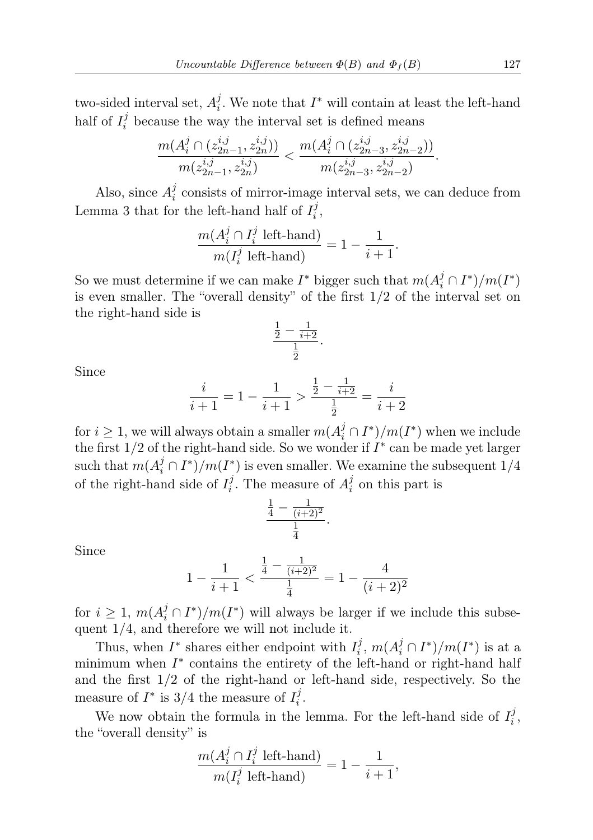two-sided interval set,  $A_i^j$ <sup>j</sup>. We note that  $I^*$  will contain at least the left-hand half of  $I_i^j$  $i$  because the way the interval set is defined means

$$
\frac{m(A_i^j\cap(z_{2n-1}^{i,j},z_{2n}^{i,j}))}{m(z_{2n-1}^{i,j},z_{2n}^{i,j})}<\frac{m(A_i^j\cap(z_{2n-3}^{i,j},z_{2n-2}^{i,j}))}{m(z_{2n-3}^{i,j},z_{2n-2}^{i,j})}.
$$

Also, since  $A_i^j$  $i$  consists of mirror-image interval sets, we can deduce from Lemma 3 that for the left-hand half of  $I_i^j$  $\frac{j}{i}$ ,

$$
\frac{m(A_i^j \cap I_i^j \text{ left-hand})}{m(I_i^j \text{ left-hand})} = 1 - \frac{1}{i+1}.
$$

So we must determine if we can make  $I^*$  bigger such that  $m(A_i^j \cap I^*)/m(I^*)$ is even smaller. The "overall density" of the first 1/2 of the interval set on the right-hand side is

$$
\frac{\frac{1}{2} - \frac{1}{i+2}}{\frac{1}{2}}.
$$

Since

$$
\frac{i}{i+1} = 1 - \frac{1}{i+1} > \frac{\frac{1}{2} - \frac{1}{i+2}}{\frac{1}{2}} = \frac{i}{i+2}
$$

for  $i \geq 1$ , we will always obtain a smaller  $m(A_i^j \cap I^*)/m(I^*)$  when we include the first  $1/2$  of the right-hand side. So we wonder if  $I^*$  can be made yet larger such that  $m(A_i^j \cap I^*)/m(I^*)$  is even smaller. We examine the subsequent  $1/4$ of the right-hand side of  $I_i^j$  $i$ . The measure of  $A_i^j$  $i$  on this part is

$$
\frac{\frac{1}{4} - \frac{1}{(i+2)^2}}{\frac{1}{4}}.
$$

Since

$$
1 - \frac{1}{i+1} < \frac{\frac{1}{4} - \frac{1}{(i+2)^2}}{\frac{1}{4}} = 1 - \frac{4}{(i+2)^2}
$$

for  $i \geq 1$ ,  $m(A_i^j \cap I^*)/m(I^*)$  will always be larger if we include this subsequent 1/4, and therefore we will not include it.

Thus, when  $I^*$  shares either endpoint with  $I_i^j$  $i, m(A_i^j \cap I^*)/m(I^*)$  is at a minimum when  $I^*$  contains the entirety of the left-hand or right-hand half and the first 1/2 of the right-hand or left-hand side, respectively. So the measure of  $I^*$  is 3/4 the measure of  $I_i^j$  $\frac{j}{i}$ .

We now obtain the formula in the lemma. For the left-hand side of  $I_i^j$  $\frac{j}{i}$ , the "overall density" is

$$
\frac{m(A_i^j \cap I_i^j \text{ left-hand})}{m(I_i^j \text{ left-hand})} = 1 - \frac{1}{i+1},
$$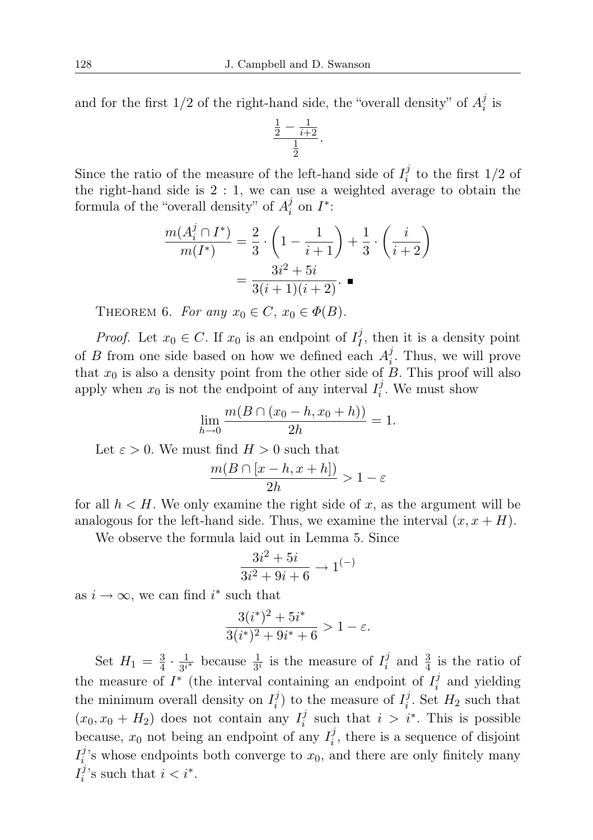and for the first  $1/2$  of the right-hand side, the "overall density" of  $A_i^j$  $\frac{j}{i}$  is

$$
\frac{\frac{1}{2} - \frac{1}{i+2}}{\frac{1}{2}}.
$$

Since the ratio of the measure of the left-hand side of  $I_i^j$  $i$  to the first  $1/2$  of the right-hand side is  $2:1$ , we can use a weighted average to obtain the formula of the "overall density" of  $A_i^j$  $i \nightharpoonup i$  on  $I^*$ :

$$
\frac{m(A_i^j \cap I^*)}{m(I^*)} = \frac{2}{3} \cdot \left(1 - \frac{1}{i+1}\right) + \frac{1}{3} \cdot \left(\frac{i}{i+2}\right)
$$

$$
= \frac{3i^2 + 5i}{3(i+1)(i+2)} \cdot \blacksquare
$$

THEOREM 6. For any  $x_0 \in C$ ,  $x_0 \in \Phi(B)$ .

*Proof.* Let  $x_0 \in C$ . If  $x_0$  is an endpoint of  $I_I^j$  $I_I^J$ , then it is a density point of B from one side based on how we defined each  $A_i^j$  $i<sub>i</sub>$ . Thus, we will prove that  $x_0$  is also a density point from the other side of  $B$ . This proof will also apply when  $x_0$  is not the endpoint of any interval  $I_i^j$  $i<sup>j</sup>$ . We must show

$$
\lim_{h \to 0} \frac{m(B \cap (x_0 - h, x_0 + h))}{2h} = 1.
$$

Let  $\varepsilon > 0$ . We must find  $H > 0$  such that

$$
\frac{m(B \cap [x-h, x+h])}{2h} > 1 - \varepsilon
$$

for all  $h < H$ . We only examine the right side of x, as the argument will be analogous for the left-hand side. Thus, we examine the interval  $(x, x + H)$ .

We observe the formula laid out in Lemma 5. Since

$$
\frac{3i^2 + 5i}{3i^2 + 9i + 6} \to 1^{(-)}
$$

as  $i \to \infty$ , we can find  $i^*$  such that

$$
\frac{3(i^*)^2 + 5i^*}{3(i^*)^2 + 9i^* + 6} > 1 - \varepsilon.
$$

Set  $H_1 = \frac{3}{4}$  $\frac{3}{4} \cdot \frac{1}{3^{i}}$  $\frac{1}{3^{i^*}}$  because  $\frac{1}{3^i}$  is the measure of  $I_i^j$  $i$  and  $\frac{3}{4}$  is the ratio of the measure of  $I^*$  (the interval containing an endpoint of  $I_i^j$  $i$  and yielding the minimum overall density on  $I_i^j$  $i$ ) to the measure of  $I_i^j$  $i<sup>j</sup>$ . Set  $H_2$  such that  $(x_0, x_0 + H_2)$  does not contain any  $I_i^j$  $i$  such that  $i > i^*$ . This is possible because,  $x_0$  not being an endpoint of any  $I_i^j$  $i<sup>j</sup>$ , there is a sequence of disjoint  $I_i^j$ <sup> $j$ </sup>'s whose endpoints both converge to  $x_0$ , and there are only finitely many  $I_i^j$  $i<sub>i</sub>$ 's such that  $i < i<sub>*</sub>$ .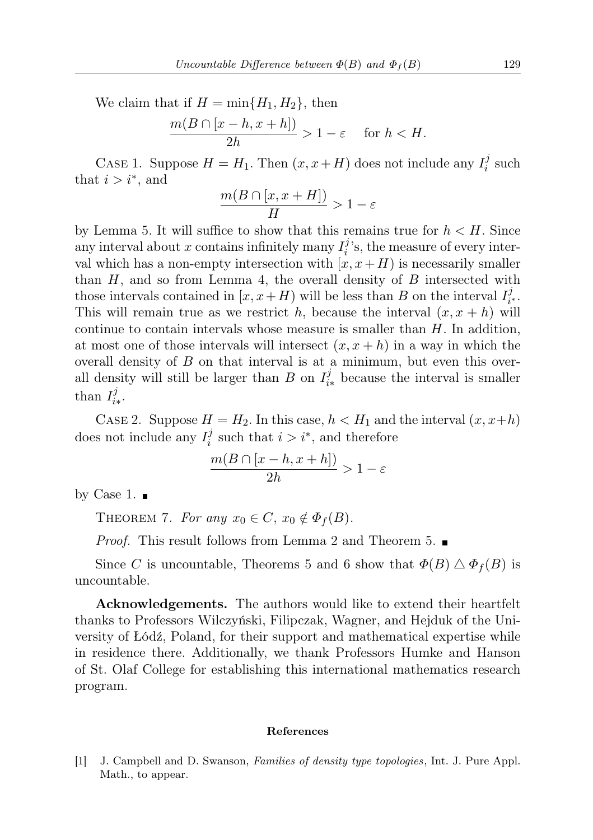We claim that if  $H = \min\{H_1, H_2\}$ , then

$$
\frac{m(B \cap [x-h, x+h])}{2h} > 1 - \varepsilon \quad \text{for } h < H.
$$

CASE 1. Suppose  $H = H_1$ . Then  $(x, x+H)$  does not include any  $I_i^j$  $i^j$  such that  $i > i^*$ , and

$$
\frac{m(B \cap [x, x+H])}{H} > 1 - \varepsilon
$$

by Lemma 5. It will suffice to show that this remains true for  $h < H$ . Since any interval about x contains infinitely many  $I_i^j$  $i<sup>j</sup>$ 's, the measure of every interval which has a non-empty intersection with  $[x, x+H]$  is necessarily smaller than  $H$ , and so from Lemma 4, the overall density of  $B$  intersected with those intervals contained in  $[x, x+H)$  will be less than B on the interval  $I_i^j$  $\frac{j}{i^*}.$ This will remain true as we restrict h, because the interval  $(x, x + h)$  will continue to contain intervals whose measure is smaller than  $H$ . In addition, at most one of those intervals will intersect  $(x, x + h)$  in a way in which the overall density of  $B$  on that interval is at a minimum, but even this overall density will still be larger than B on  $I_i^j$  $\frac{1}{i*}$  because the interval is smaller than  $I_i^j$ i∗ .

CASE 2. Suppose  $H = H_2$ . In this case,  $h < H_1$  and the interval  $(x, x+h)$ does not include any  $I_i^j$  $i$  such that  $i > i^*$ , and therefore

$$
\frac{m(B \cap [x-h, x+h])}{2h} > 1 - \varepsilon
$$

by Case 1.  $\blacksquare$ 

THEOREM 7. For any  $x_0 \in C$ ,  $x_0 \notin \Phi_f(B)$ .

Proof. This result follows from Lemma 2 and Theorem 5.

Since C is uncountable, Theorems 5 and 6 show that  $\Phi(B) \bigtriangleup \Phi_f(B)$  is uncountable.

Acknowledgements. The authors would like to extend their heartfelt thanks to Professors Wilczyński, Filipczak, Wagner, and Hejduk of the University of Łódź, Poland, for their support and mathematical expertise while in residence there. Additionally, we thank Professors Humke and Hanson of St. Olaf College for establishing this international mathematics research program.

## References

[1] J. Campbell and D. Swanson, Families of density type topologies, Int. J. Pure Appl. Math., to appear.